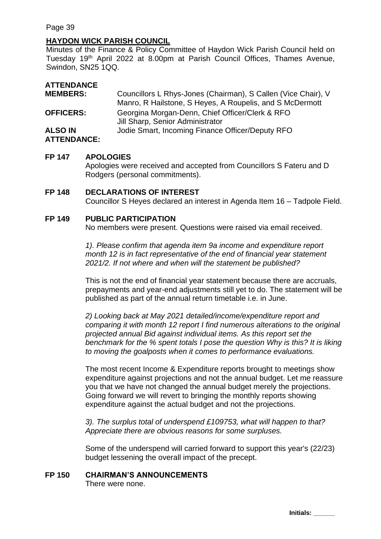### **HAYDON WICK PARISH COUNCIL**

Minutes of the Finance & Policy Committee of Haydon Wick Parish Council held on Tuesday 19<sup>th</sup> April 2022 at 8.00pm at Parish Council Offices, Thames Avenue, Swindon, SN25 1QQ.

| <b>ATTENDANCE</b>                    |                                                                                                                           |
|--------------------------------------|---------------------------------------------------------------------------------------------------------------------------|
| <b>MEMBERS:</b>                      | Councillors L Rhys-Jones (Chairman), S Callen (Vice Chair), V<br>Manro, R Hailstone, S Heyes, A Roupelis, and S McDermott |
| <b>OFFICERS:</b>                     | Georgina Morgan-Denn, Chief Officer/Clerk & RFO<br>Jill Sharp, Senior Administrator                                       |
| <b>ALSO IN</b><br><b>ATTENDANCE:</b> | Jodie Smart, Incoming Finance Officer/Deputy RFO                                                                          |

#### **FP 147 APOLOGIES**

Apologies were received and accepted from Councillors S Fateru and D Rodgers (personal commitments).

#### **FP 148 DECLARATIONS OF INTEREST**

Councillor S Heyes declared an interest in Agenda Item 16 – Tadpole Field.

#### **FP 149 PUBLIC PARTICIPATION**

No members were present. Questions were raised via email received.

*1). Please confirm that agenda item 9a income and expenditure report month 12 is in fact representative of the end of financial year statement 2021/2. If not where and when will the statement be published?*

This is not the end of financial year statement because there are accruals, prepayments and year-end adjustments still yet to do. The statement will be published as part of the annual return timetable i.e. in June.

*2) Looking back at May 2021 detailed/income/expenditure report and comparing it with month 12 report I find numerous alterations to the original projected annual Bid against individual items. As this report set the benchmark for the % spent totals I pose the question Why is this? It is liking to moving the goalposts when it comes to performance evaluations.*

The most recent Income & Expenditure reports brought to meetings show expenditure against projections and not the annual budget. Let me reassure you that we have not changed the annual budget merely the projections. Going forward we will revert to bringing the monthly reports showing expenditure against the actual budget and not the projections.

*3). The surplus total of underspend £109753, what will happen to that? Appreciate there are obvious reasons for some surpluses.*

Some of the underspend will carried forward to support this year's (22/23) budget lessening the overall impact of the precept.

#### **FP 150 CHAIRMAN'S ANNOUNCEMENTS**

There were none.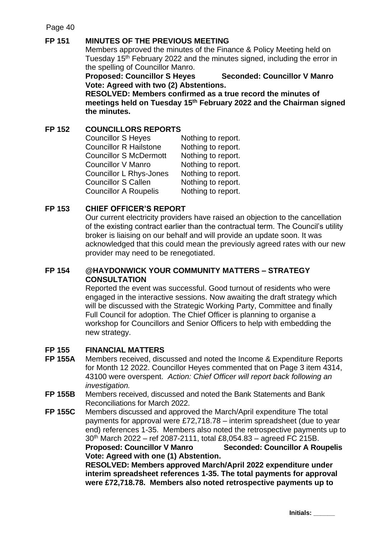# **FP 151 MINUTES OF THE PREVIOUS MEETING**

Members approved the minutes of the Finance & Policy Meeting held on Tuesday 15<sup>th</sup> February 2022 and the minutes signed, including the error in the spelling of Councillor Manro.

**Proposed: Councillor S Heyes Seconded: Councillor V Manro Vote: Agreed with two (2) Abstentions.** 

**RESOLVED: Members confirmed as a true record the minutes of meetings held on Tuesday 15th February 2022 and the Chairman signed the minutes.**

# **FP 152 COUNCILLORS REPORTS**

| <b>Councillor S Heyes</b>      | Nothing to report. |
|--------------------------------|--------------------|
| <b>Councillor R Hailstone</b>  | Nothing to report. |
| <b>Councillor S McDermott</b>  | Nothing to report. |
| Councillor V Manro             | Nothing to report. |
| <b>Councillor L Rhys-Jones</b> | Nothing to report. |
| <b>Councillor S Callen</b>     | Nothing to report. |
| <b>Councillor A Roupelis</b>   | Nothing to report. |

# **FP 153 CHIEF OFFICER'S REPORT**

Our current electricity providers have raised an objection to the cancellation of the existing contract earlier than the contractual term. The Council's utility broker is liaising on our behalf and will provide an update soon. It was acknowledged that this could mean the previously agreed rates with our new provider may need to be renegotiated.

## **FP 154 @HAYDONWICK YOUR COMMUNITY MATTERS – STRATEGY CONSULTATION**

Reported the event was successful. Good turnout of residents who were engaged in the interactive sessions. Now awaiting the draft strategy which will be discussed with the Strategic Working Party, Committee and finally Full Council for adoption. The Chief Officer is planning to organise a workshop for Councillors and Senior Officers to help with embedding the new strategy.

## **FP 155 FINANCIAL MATTERS**

- **FP 155A** Members received, discussed and noted the Income & Expenditure Reports for Month 12 2022. Councillor Heyes commented that on Page 3 item 4314, 43100 were overspent. *Action: Chief Officer will report back following an investigation.*
- **FP 155B** Members received, discussed and noted the Bank Statements and Bank Reconciliations for March 2022.
- **FP 155C** Members discussed and approved the March/April expenditure The total payments for approval were £72,718.78 – interim spreadsheet (due to year end) references 1-35. Members also noted the retrospective payments up to 30th March 2022 – ref 2087-2111, total £8,054.83 – agreed FC 215B. **Proposed: Councillor V Manro Seconded: Councillor A Roupelis Vote: Agreed with one (1) Abstention.**

**RESOLVED: Members approved March/April 2022 expenditure under interim spreadsheet references 1-35. The total payments for approval were £72,718.78. Members also noted retrospective payments up to** 

**Initials: \_\_\_\_\_\_**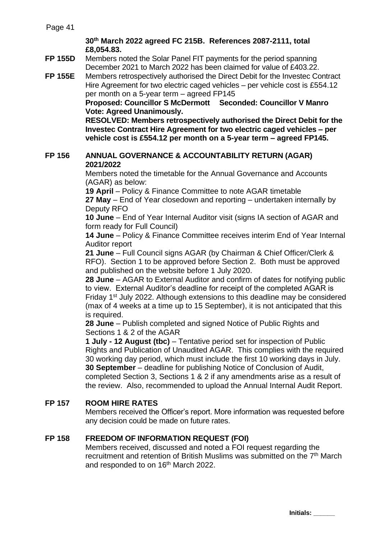## **30th March 2022 agreed FC 215B. References 2087-2111, total £8,054.83.**

**FP 155D** Members noted the Solar Panel FIT payments for the period spanning December 2021 to March 2022 has been claimed for value of £403.22.

**FP 155E** Members retrospectively authorised the Direct Debit for the Investec Contract Hire Agreement for two electric caged vehicles – per vehicle cost is £554.12 per month on a 5-year term – agreed FP145

> **Proposed: Councillor S McDermott Seconded: Councillor V Manro Vote: Agreed Unanimously.**

**RESOLVED: Members retrospectively authorised the Direct Debit for the Investec Contract Hire Agreement for two electric caged vehicles – per vehicle cost is £554.12 per month on a 5-year term – agreed FP145.**

### **FP 156 ANNUAL GOVERNANCE & ACCOUNTABILITY RETURN (AGAR) 2021/2022**

Members noted the timetable for the Annual Governance and Accounts (AGAR) as below:

**19 April** – Policy & Finance Committee to note AGAR timetable **27 May** – End of Year closedown and reporting – undertaken internally by Deputy RFO

**10 June** – End of Year Internal Auditor visit (signs IA section of AGAR and form ready for Full Council)

**14 June** – Policy & Finance Committee receives interim End of Year Internal Auditor report

**21 June** – Full Council signs AGAR (by Chairman & Chief Officer/Clerk & RFO). Section 1 to be approved before Section 2. Both must be approved and published on the website before 1 July 2020.

**28 June** – AGAR to External Auditor and confirm of dates for notifying public to view. External Auditor's deadline for receipt of the completed AGAR is Friday 1<sup>st</sup> July 2022. Although extensions to this deadline may be considered (max of 4 weeks at a time up to 15 September), it is not anticipated that this is required.

**28 June** – Publish completed and signed Notice of Public Rights and Sections 1 & 2 of the AGAR

**1 July - 12 August (tbc)** – Tentative period set for inspection of Public Rights and Publication of Unaudited AGAR. This complies with the required 30 working day period, which must include the first 10 working days in July. **30 September** – deadline for publishing Notice of Conclusion of Audit, completed Section 3, Sections 1 & 2 if any amendments arise as a result of the review. Also, recommended to upload the Annual Internal Audit Report.

# **FP 157 ROOM HIRE RATES**

Members received the Officer's report. More information was requested before any decision could be made on future rates.

# **FP 158 FREEDOM OF INFORMATION REQUEST (FOI)**

Members received, discussed and noted a FOI request regarding the recruitment and retention of British Muslims was submitted on the 7<sup>th</sup> March and responded to on 16<sup>th</sup> March 2022.